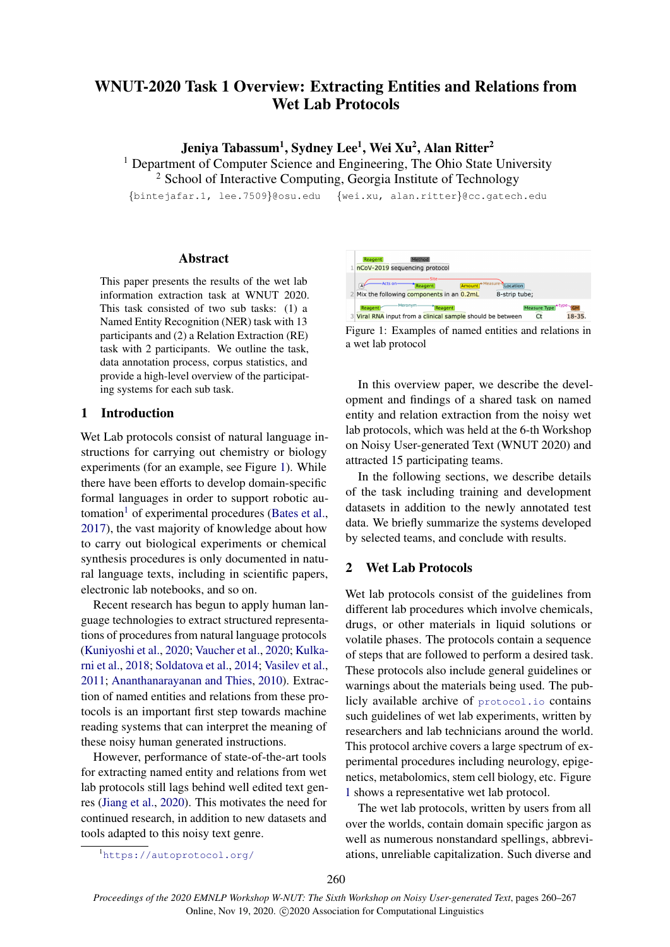# <span id="page-0-1"></span>WNUT-2020 Task 1 Overview: Extracting Entities and Relations from Wet Lab Protocols

Jeniya Tabassum<sup>1</sup>, Sydney Lee<sup>1</sup>, Wei Xu<sup>2</sup>, Alan Ritter<sup>2</sup>

<sup>1</sup> Department of Computer Science and Engineering, The Ohio State University

<sup>2</sup> School of Interactive Computing, Georgia Institute of Technology

{bintejafar.1, lee.7509}@osu.edu {wei.xu, alan.ritter}@cc.gatech.edu

## Abstract

This paper presents the results of the wet lab information extraction task at WNUT 2020. This task consisted of two sub tasks: (1) a Named Entity Recognition (NER) task with 13 participants and (2) a Relation Extraction (RE) task with 2 participants. We outline the task, data annotation process, corpus statistics, and provide a high-level overview of the participating systems for each sub task.

# 1 Introduction

Wet Lab protocols consist of natural language instructions for carrying out chemistry or biology experiments (for an example, see Figure [1\)](#page-0-0). While there have been efforts to develop domain-specific formal languages in order to support robotic au-tomation<sup>1</sup> of experimental procedures [\(Bates et al.,](#page-5-0) [2017\)](#page-5-0), the vast majority of knowledge about how to carry out biological experiments or chemical synthesis procedures is only documented in natural language texts, including in scientific papers, electronic lab notebooks, and so on.

Recent research has begun to apply human language technologies to extract structured representations of procedures from natural language protocols [\(Kuniyoshi et al.,](#page-6-0) [2020;](#page-6-0) [Vaucher et al.,](#page-7-0) [2020;](#page-7-0) [Kulka](#page-6-1)[rni et al.,](#page-6-1) [2018;](#page-6-1) [Soldatova et al.,](#page-7-1) [2014;](#page-7-1) [Vasilev et al.,](#page-7-2) [2011;](#page-7-2) [Ananthanarayanan and Thies,](#page-5-1) [2010\)](#page-5-1). Extraction of named entities and relations from these protocols is an important first step towards machine reading systems that can interpret the meaning of these noisy human generated instructions.

However, performance of state-of-the-art tools for extracting named entity and relations from wet lab protocols still lags behind well edited text genres [\(Jiang et al.,](#page-6-2) [2020\)](#page-6-2). This motivates the need for continued research, in addition to new datasets and tools adapted to this noisy text genre.

<span id="page-0-0"></span>

Figure 1: Examples of named entities and relations in a wet lab protocol

In this overview paper, we describe the development and findings of a shared task on named entity and relation extraction from the noisy wet lab protocols, which was held at the 6-th Workshop on Noisy User-generated Text (WNUT 2020) and attracted 15 participating teams.

In the following sections, we describe details of the task including training and development datasets in addition to the newly annotated test data. We briefly summarize the systems developed by selected teams, and conclude with results.

# 2 Wet Lab Protocols

Wet lab protocols consist of the guidelines from different lab procedures which involve chemicals, drugs, or other materials in liquid solutions or volatile phases. The protocols contain a sequence of steps that are followed to perform a desired task. These protocols also include general guidelines or warnings about the materials being used. The publicly available archive of <protocol.io> contains such guidelines of wet lab experiments, written by researchers and lab technicians around the world. This protocol archive covers a large spectrum of experimental procedures including neurology, epigenetics, metabolomics, stem cell biology, etc. Figure [1](#page-0-0) shows a representative wet lab protocol.

The wet lab protocols, written by users from all over the worlds, contain domain specific jargon as well as numerous nonstandard spellings, abbreviations, unreliable capitalization. Such diverse and

<sup>1</sup><https://autoprotocol.org/>

*Proceedings of the 2020 EMNLP Workshop W-NUT: The Sixth Workshop on Noisy User-generated Text*, pages 260–267 Online, Nov 19, 2020. C 2020 Association for Computational Linguistics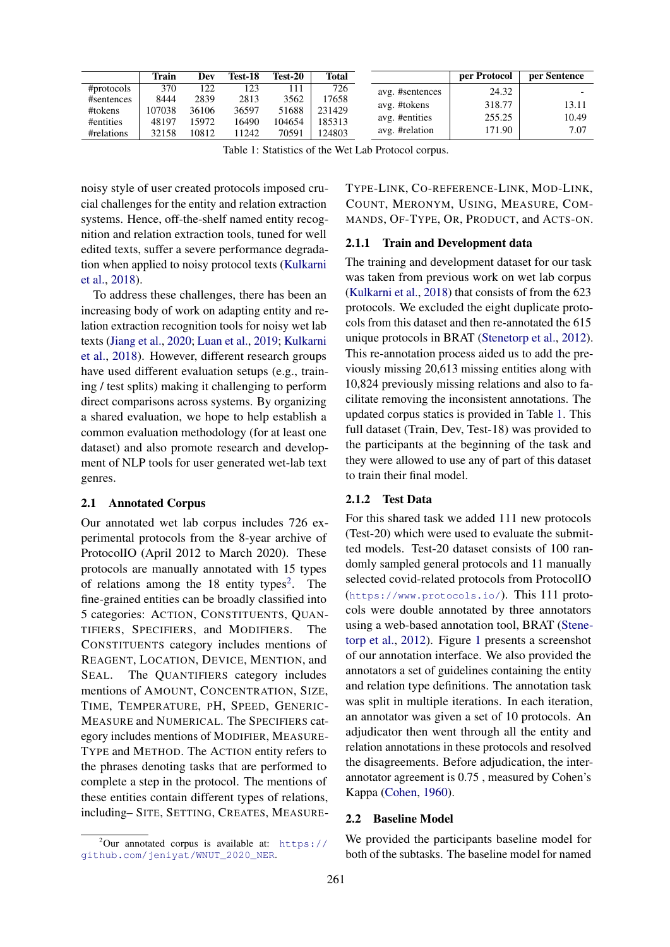<span id="page-1-0"></span>

|            | Train  | Dev   | Test-18 | Test-20 | Total  |                 | per Protocol | per Sentence |
|------------|--------|-------|---------|---------|--------|-----------------|--------------|--------------|
| #protocols | 370    | 122   | 123     |         | 726    | avg. #sentences | 24.32        |              |
| #sentences | 8444   | 2839  | 2813    | 3562    | 17658  | avg. #tokens    | 318.77       | 13.11        |
| #tokens    | 107038 | 36106 | 36597   | 51688   | 231429 |                 | 255.25       | 10.49        |
| #entities  | 48197  | 5972  | 16490   | 104654  | 185313 | avg. #entities  |              |              |
| #relations | 32158  | 10812 | 11242   | 70591   | 124803 | avg. #relation  | 171.90       | 7.07         |

Table 1: Statistics of the Wet Lab Protocol corpus.

noisy style of user created protocols imposed crucial challenges for the entity and relation extraction systems. Hence, off-the-shelf named entity recognition and relation extraction tools, tuned for well edited texts, suffer a severe performance degradation when applied to noisy protocol texts [\(Kulkarni](#page-6-1) [et al.,](#page-6-1) [2018\)](#page-6-1).

To address these challenges, there has been an increasing body of work on adapting entity and relation extraction recognition tools for noisy wet lab texts [\(Jiang et al.,](#page-6-2) [2020;](#page-6-2) [Luan et al.,](#page-6-3) [2019;](#page-6-3) [Kulkarni](#page-6-1) [et al.,](#page-6-1) [2018\)](#page-6-1). However, different research groups have used different evaluation setups (e.g., training / test splits) making it challenging to perform direct comparisons across systems. By organizing a shared evaluation, we hope to help establish a common evaluation methodology (for at least one dataset) and also promote research and development of NLP tools for user generated wet-lab text genres.

#### 2.1 Annotated Corpus

Our annotated wet lab corpus includes 726 experimental protocols from the 8-year archive of ProtocolIO (April 2012 to March 2020). These protocols are manually annotated with 15 types of relations among the  $18$  entity types<sup>[2](#page-0-1)</sup>. The fine-grained entities can be broadly classified into 5 categories: ACTION, CONSTITUENTS, QUAN-TIFIERS, SPECIFIERS, and MODIFIERS. The CONSTITUENTS category includes mentions of REAGENT, LOCATION, DEVICE, MENTION, and SEAL. The QUANTIFIERS category includes mentions of AMOUNT, CONCENTRATION, SIZE, TIME, TEMPERATURE, PH, SPEED, GENERIC-MEASURE and NUMERICAL. The SPECIFIERS category includes mentions of MODIFIER, MEASURE-TYPE and METHOD. The ACTION entity refers to the phrases denoting tasks that are performed to complete a step in the protocol. The mentions of these entities contain different types of relations, including– SITE, SETTING, CREATES, MEASURE-

TYPE-LINK, CO-REFERENCE-LINK, MOD-LINK, COUNT, MERONYM, USING, MEASURE, COM-MANDS, OF-TYPE, OR, PRODUCT, and ACTS-ON.

#### 2.1.1 Train and Development data

The training and development dataset for our task was taken from previous work on wet lab corpus [\(Kulkarni et al.,](#page-6-1) [2018\)](#page-6-1) that consists of from the 623 protocols. We excluded the eight duplicate protocols from this dataset and then re-annotated the 615 unique protocols in BRAT [\(Stenetorp et al.,](#page-7-3) [2012\)](#page-7-3). This re-annotation process aided us to add the previously missing 20,613 missing entities along with 10,824 previously missing relations and also to facilitate removing the inconsistent annotations. The updated corpus statics is provided in Table [1.](#page-1-0) This full dataset (Train, Dev, Test-18) was provided to the participants at the beginning of the task and they were allowed to use any of part of this dataset to train their final model.

#### 2.1.2 Test Data

For this shared task we added 111 new protocols (Test-20) which were used to evaluate the submitted models. Test-20 dataset consists of 100 randomly sampled general protocols and 11 manually selected covid-related protocols from ProtocolIO (<https://www.protocols.io/>). This 111 protocols were double annotated by three annotators using a web-based annotation tool, BRAT [\(Stene](#page-7-3)[torp et al.,](#page-7-3) [2012\)](#page-7-3). Figure [1](#page-0-0) presents a screenshot of our annotation interface. We also provided the annotators a set of guidelines containing the entity and relation type definitions. The annotation task was split in multiple iterations. In each iteration, an annotator was given a set of 10 protocols. An adjudicator then went through all the entity and relation annotations in these protocols and resolved the disagreements. Before adjudication, the interannotator agreement is 0.75 , measured by Cohen's Kappa [\(Cohen,](#page-5-2) [1960\)](#page-5-2).

#### 2.2 Baseline Model

We provided the participants baseline model for both of the subtasks. The baseline model for named

 $^{2}$ Our annotated corpus is available at: [https://](https://github.com/jeniyat/WNUT_2020_NER) [github.com/jeniyat/WNUT\\_2020\\_NER](https://github.com/jeniyat/WNUT_2020_NER).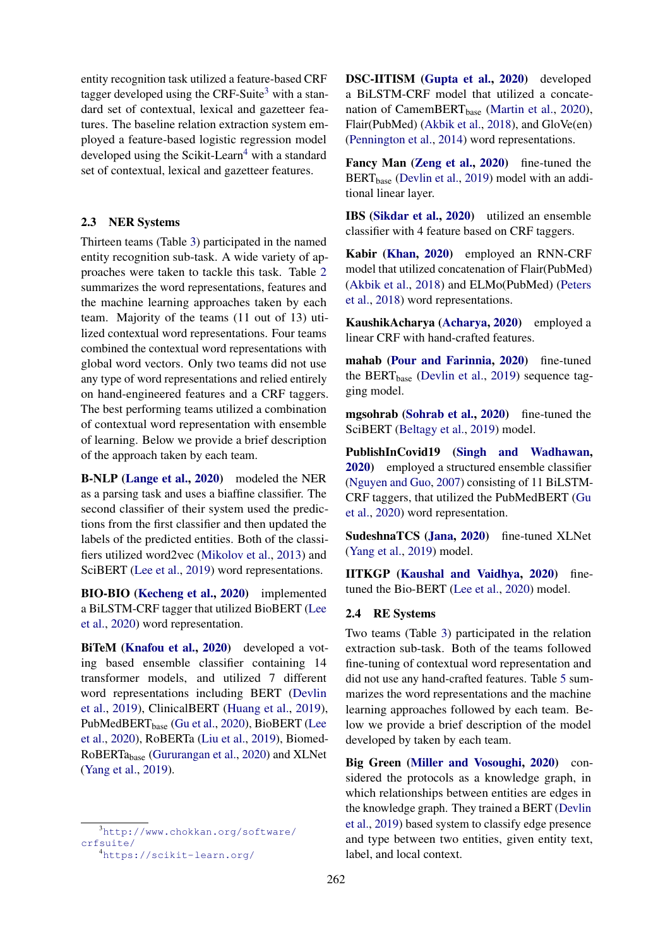entity recognition task utilized a feature-based CRF tagger developed using the CRF-Suite<sup>[3](#page-0-1)</sup> with a standard set of contextual, lexical and gazetteer features. The baseline relation extraction system employed a feature-based logistic regression model developed using the Scikit-Learn<sup>[4](#page-0-1)</sup> with a standard set of contextual, lexical and gazetteer features.

## 2.3 NER Systems

Thirteen teams (Table [3\)](#page-3-0) participated in the named entity recognition sub-task. A wide variety of approaches were taken to tackle this task. Table [2](#page-3-1) summarizes the word representations, features and the machine learning approaches taken by each team. Majority of the teams (11 out of 13) utilized contextual word representations. Four teams combined the contextual word representations with global word vectors. Only two teams did not use any type of word representations and relied entirely on hand-engineered features and a CRF taggers. The best performing teams utilized a combination of contextual word representation with ensemble of learning. Below we provide a brief description of the approach taken by each team.

B-NLP [\(Lange et al.,](#page-6-4) [2020\)](#page-6-4) modeled the NER as a parsing task and uses a biaffine classifier. The second classifier of their system used the predictions from the first classifier and then updated the labels of the predicted entities. Both of the classifiers utilized word2vec [\(Mikolov et al.,](#page-6-5) [2013\)](#page-6-5) and SciBERT [\(Lee et al.,](#page-6-6) [2019\)](#page-6-6) word representations.

BIO-BIO [\(Kecheng et al.,](#page-6-7) [2020\)](#page-6-7) implemented a BiLSTM-CRF tagger that utilized BioBERT [\(Lee](#page-6-8) [et al.,](#page-6-8) [2020\)](#page-6-8) word representation.

BiTeM [\(Knafou et al.,](#page-6-9) [2020\)](#page-6-9) developed a voting based ensemble classifier containing 14 transformer models, and utilized 7 different word representations including BERT [\(Devlin](#page-5-3) [et al.,](#page-5-3) [2019\)](#page-5-3), ClinicalBERT [\(Huang et al.,](#page-6-10) [2019\)](#page-6-10), PubMedBERT<sub>base</sub> [\(Gu et al.,](#page-5-4) [2020\)](#page-5-4), BioBERT [\(Lee](#page-6-8) [et al.,](#page-6-8) [2020\)](#page-6-8), RoBERTa [\(Liu et al.,](#page-6-11) [2019\)](#page-6-11), Biomed-RoBERTabase [\(Gururangan et al.,](#page-5-5) [2020\)](#page-5-5) and XLNet [\(Yang et al.,](#page-7-4) [2019\)](#page-7-4).

<sup>3</sup>[http://www.chokkan.org/software/](http://www.chokkan.org/software/ crfsuite/) [crfsuite/](http://www.chokkan.org/software/ crfsuite/)

DSC-IITISM [\(Gupta et al.,](#page-5-6) [2020\)](#page-5-6) developed a BiLSTM-CRF model that utilized a concate-nation of CamemBERT<sub>base</sub> [\(Martin et al.,](#page-6-12) [2020\)](#page-6-12), Flair(PubMed) [\(Akbik et al.,](#page-5-7) [2018\)](#page-5-7), and GloVe(en) [\(Pennington et al.,](#page-6-13) [2014\)](#page-6-13) word representations.

Fancy Man [\(Zeng et al.,](#page-7-5) [2020\)](#page-7-5) fine-tuned the BERT<sub>base</sub> [\(Devlin et al.,](#page-5-3) [2019\)](#page-5-3) model with an additional linear layer.

IBS [\(Sikdar et al.,](#page-7-6) [2020\)](#page-7-6) utilized an ensemble classifier with 4 feature based on CRF taggers.

Kabir [\(Khan,](#page-6-14) [2020\)](#page-6-14) employed an RNN-CRF model that utilized concatenation of Flair(PubMed) [\(Akbik et al.,](#page-5-7) [2018\)](#page-5-7) and ELMo(PubMed) [\(Peters](#page-6-15) [et al.,](#page-6-15) [2018\)](#page-6-15) word representations.

KaushikAcharya [\(Acharya,](#page-5-8) [2020\)](#page-5-8) employed a linear CRF with hand-crafted features.

mahab [\(Pour and Farinnia,](#page-7-7) [2020\)](#page-7-7) fine-tuned the BERT<sub>base</sub> [\(Devlin et al.,](#page-5-3) [2019\)](#page-5-3) sequence tagging model.

mgsohrab [\(Sohrab et al.,](#page-7-8) [2020\)](#page-7-8) fine-tuned the SciBERT [\(Beltagy et al.,](#page-5-9) [2019\)](#page-5-9) model.

PublishInCovid19 [\(Singh and Wadhawan,](#page-7-9) [2020\)](#page-7-9) employed a structured ensemble classifier [\(Nguyen and Guo,](#page-6-16) [2007\)](#page-6-16) consisting of 11 BiLSTM-CRF taggers, that utilized the PubMedBERT [\(Gu](#page-5-4) [et al.,](#page-5-4) [2020\)](#page-5-4) word representation.

SudeshnaTCS [\(Jana,](#page-6-17) [2020\)](#page-6-17) fine-tuned XLNet [\(Yang et al.,](#page-7-4) [2019\)](#page-7-4) model.

IITKGP [\(Kaushal and Vaidhya,](#page-6-18) [2020\)](#page-6-18) finetuned the Bio-BERT [\(Lee et al.,](#page-6-8) [2020\)](#page-6-8) model.

## 2.4 RE Systems

Two teams (Table [3\)](#page-3-0) participated in the relation extraction sub-task. Both of the teams followed fine-tuning of contextual word representation and did not use any hand-crafted features. Table [5](#page-4-0) summarizes the word representations and the machine learning approaches followed by each team. Below we provide a brief description of the model developed by taken by each team.

Big Green [\(Miller and Vosoughi,](#page-6-19) [2020\)](#page-6-19) considered the protocols as a knowledge graph, in which relationships between entities are edges in the knowledge graph. They trained a BERT [\(Devlin](#page-5-3) [et al.,](#page-5-3) [2019\)](#page-5-3) based system to classify edge presence and type between two entities, given entity text, label, and local context.

<sup>4</sup><https://scikit-learn.org/>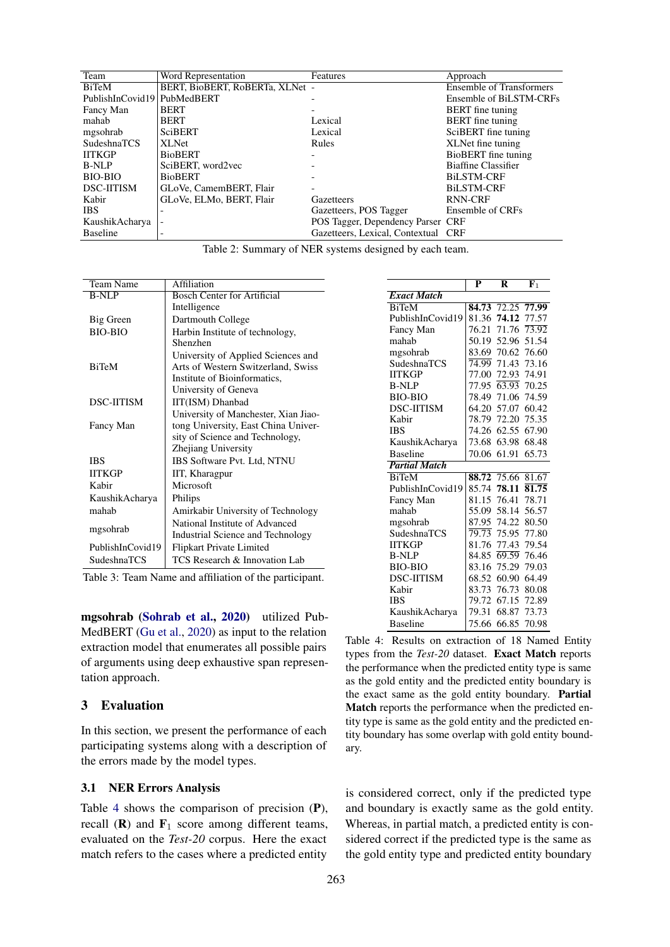<span id="page-3-1"></span>

| Team               | Word Representation             | Features                            | Approach                        |
|--------------------|---------------------------------|-------------------------------------|---------------------------------|
| <b>BiTeM</b>       | BERT. BioBERT. RoBERTa. XLNet - |                                     | <b>Ensemble of Transformers</b> |
| PublishInCovid19   | PubMedBERT                      |                                     | Ensemble of BiLSTM-CRFs         |
| Fancy Man          | <b>BERT</b>                     |                                     | <b>BERT</b> fine tuning         |
| mahab              | <b>BERT</b>                     | Lexical                             | <b>BERT</b> fine tuning         |
| mgsohrab           | <b>SciBERT</b>                  | Lexical                             | SciBERT fine tuning             |
| <b>SudeshnaTCS</b> | <b>XLNet</b>                    | Rules                               | XLNet fine tuning               |
| <b>IITKGP</b>      | <b>BioBERT</b>                  |                                     | BioBERT fine tuning             |
| <b>B-NLP</b>       | SciBERT, word2vec               |                                     | Biaffine Classifier             |
| <b>BIO-BIO</b>     | <b>BioBERT</b>                  |                                     | <b>BiLSTM-CRF</b>               |
| <b>DSC-IITISM</b>  | GLoVe, CamemBERT, Flair         |                                     | <b>BiLSTM-CRF</b>               |
| Kabir              | GLoVe, ELMo, BERT, Flair        | Gazetteers                          | RNN-CRF                         |
| <b>IBS</b>         |                                 | Gazetteers, POS Tagger              | Ensemble of CRFs                |
| KaushikAcharya     |                                 | POS Tagger, Dependency Parser CRF   |                                 |
| <b>Baseline</b>    | -                               | Gazetteers, Lexical, Contextual CRF |                                 |

|  | Table 2: Summary of NER systems designed by each team. |  |  |  |  |  |
|--|--------------------------------------------------------|--|--|--|--|--|
|--|--------------------------------------------------------|--|--|--|--|--|

<span id="page-3-0"></span>

| Team Name         | Affiliation                          |  |  |
|-------------------|--------------------------------------|--|--|
| <b>B-NLP</b>      | <b>Bosch Center for Artificial</b>   |  |  |
|                   | Intelligence                         |  |  |
| Big Green         | Dartmouth College                    |  |  |
| <b>BIO-BIO</b>    | Harbin Institute of technology,      |  |  |
|                   | Shenzhen                             |  |  |
|                   | University of Applied Sciences and   |  |  |
| <b>BiTeM</b>      | Arts of Western Switzerland, Swiss   |  |  |
|                   | Institute of Bioinformatics,         |  |  |
|                   | University of Geneva                 |  |  |
| <b>DSC-IITISM</b> | IIT(ISM) Dhanbad                     |  |  |
|                   | University of Manchester, Xian Jiao- |  |  |
| Fancy Man         | tong University, East China Univer-  |  |  |
|                   | sity of Science and Technology,      |  |  |
|                   | Zhejiang University                  |  |  |
| <b>IBS</b>        | IBS Software Pvt. Ltd, NTNU          |  |  |
| <b>IITKGP</b>     | IIT, Kharagpur                       |  |  |
| Kabir             | Microsoft                            |  |  |
| KaushikAcharya    | Philips                              |  |  |
| mahah             | Amirkabir University of Technology   |  |  |
|                   | National Institute of Advanced       |  |  |
| mgsohrab          | Industrial Science and Technology    |  |  |
| PublishInCovid19  | Flipkart Private Limited             |  |  |
| SudeshnaTCS       | TCS Research & Innovation Lab        |  |  |

Table 3: Team Name and affiliation of the participant.

mgsohrab [\(Sohrab et al.,](#page-7-8) [2020\)](#page-7-8) utilized Pub-MedBERT [\(Gu et al.,](#page-5-4) [2020\)](#page-5-4) as input to the relation extraction model that enumerates all possible pairs of arguments using deep exhaustive span representation approach.

## 3 Evaluation

In this section, we present the performance of each participating systems along with a description of the errors made by the model types.

#### 3.1 NER Errors Analysis

Table [4](#page-3-2) shows the comparison of precision (P), recall  $(R)$  and  $F_1$  score among different teams, evaluated on the *Test-20* corpus. Here the exact match refers to the cases where a predicted entity

<span id="page-3-2"></span>

|                      | P     | R                 | ${\bf F}_1$        |
|----------------------|-------|-------------------|--------------------|
| <b>Exact Match</b>   |       |                   |                    |
| <b>BiTeM</b>         |       | 84.73 72.25 77.99 |                    |
| PublishInCovid19     | 81.36 | 74.12             | 77.57              |
| Fancy Man            | 76.21 | 71.76             | $\overline{73.92}$ |
| mahab                | 50.19 | 52.96             | 51.54              |
| mgsohrab             |       | 83.69 70.62 76.60 |                    |
| SudeshnaTCS          | 74.99 | 71.43             | 73.16              |
| <b>IITKGP</b>        | 77.00 | 72.93 74.91       |                    |
| <b>B-NLP</b>         | 77.95 | 63.93             | 70.25              |
| <b>BIO-BIO</b>       | 78.49 |                   | 71.06 74.59        |
| <b>DSC-IITISM</b>    | 64.20 | 57.07             | 60.42              |
| Kabir                | 78.79 | 72.20             | 75.35              |
| <b>IBS</b>           | 74.26 | 62.55             | 67.90              |
| KaushikAcharya       | 73.68 | 63.98             | 68.48              |
| <b>Baseline</b>      | 70.06 | 61.91             | 65.73              |
| <b>Partial Match</b> |       |                   |                    |
| <b>BiTeM</b>         |       | 88.72 75.66       | 81.67              |
| PublishInCovid19     | 85.74 | 78.11             | 81.75              |
| Fancy Man            | 81.15 | 76.41             | 78.71              |
| mahab                | 55.09 | 58.14             | 56.57              |
| mgsohrab             |       | 87.95 74.22       | 80.50              |
| SudeshnaTCS          | 79.73 | 75.95             | 77.80              |
| <b>IITKGP</b>        | 81.76 | 77.43             | 79.54              |
| <b>B-NLP</b>         | 84.85 | 69.59             | 76.46              |
| <b>BIO-BIO</b>       | 83.16 | 75.29             | 79.03              |
| <b>DSC-HTISM</b>     |       | 68.52 60.90       | 64.49              |
| Kabir                | 83.73 | 76.73             | 80.08              |
| <b>IBS</b>           | 79.72 | 67.15             | 72.89              |
| KaushikAcharya       | 79.31 | 68.87             | 73.73              |
| <b>Baseline</b>      | 75.66 | 66.85             | 70.98              |
|                      |       |                   |                    |

Table 4: Results on extraction of 18 Named Entity types from the *Test-20* dataset. Exact Match reports the performance when the predicted entity type is same as the gold entity and the predicted entity boundary is the exact same as the gold entity boundary. Partial Match reports the performance when the predicted entity type is same as the gold entity and the predicted entity boundary has some overlap with gold entity boundary.

is considered correct, only if the predicted type and boundary is exactly same as the gold entity. Whereas, in partial match, a predicted entity is considered correct if the predicted type is the same as the gold entity type and predicted entity boundary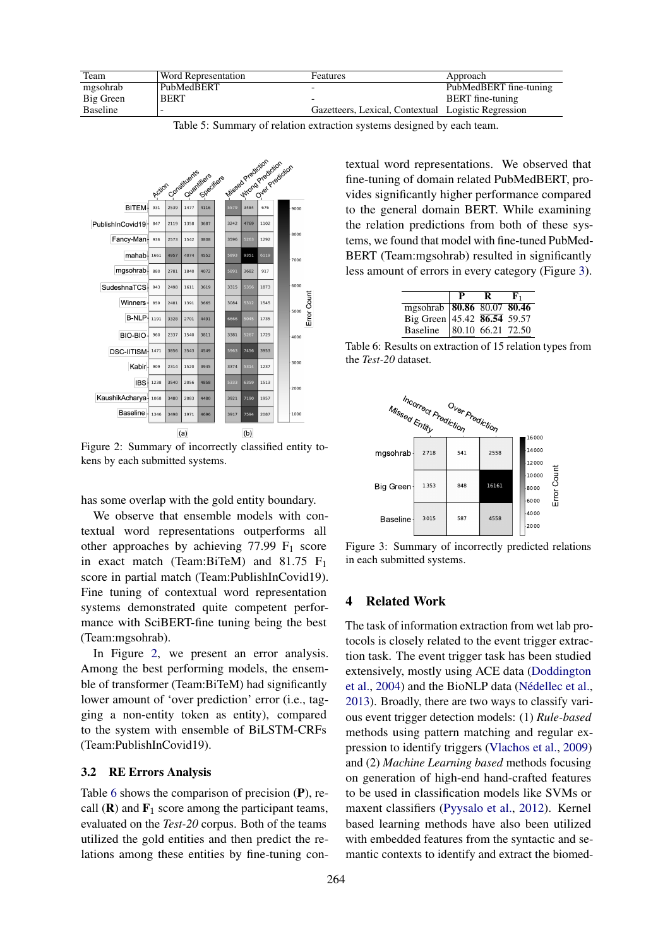<span id="page-4-0"></span>

| Team      | <b>Word Representation</b> | Features                                            | Approach                |
|-----------|----------------------------|-----------------------------------------------------|-------------------------|
| mgsohrab  | PubMedBERT                 |                                                     | PubMedBERT fine-tuning  |
| Big Green | <b>BERT</b>                |                                                     | <b>BERT</b> fine-tuning |
| Baseline  |                            | Gazetteers, Lexical, Contextual Logistic Regression |                         |

Table 5: Summary of relation extraction systems designed by each team.

<span id="page-4-1"></span>

Figure 2: Summary of incorrectly classified entity tokens by each submitted systems.

has some overlap with the gold entity boundary.

We observe that ensemble models with contextual word representations outperforms all other approaches by achieving 77.99  $F_1$  score in exact match (Team:BiTeM) and  $81.75$  F<sub>1</sub> score in partial match (Team:PublishInCovid19). Fine tuning of contextual word representation systems demonstrated quite competent performance with SciBERT-fine tuning being the best (Team:mgsohrab).

In Figure [2,](#page-4-1) we present an error analysis. Among the best performing models, the ensemble of transformer (Team:BiTeM) had significantly lower amount of 'over prediction' error (i.e., tagging a non-entity token as entity), compared to the system with ensemble of BiLSTM-CRFs (Team:PublishInCovid19).

#### 3.2 RE Errors Analysis

Table [6](#page-4-2) shows the comparison of precision (P), recall  $(R)$  and  $F_1$  score among the participant teams, evaluated on the *Test-20* corpus. Both of the teams utilized the gold entities and then predict the relations among these entities by fine-tuning contextual word representations. We observed that fine-tuning of domain related PubMedBERT, provides significantly higher performance compared to the general domain BERT. While examining the relation predictions from both of these systems, we found that model with fine-tuned PubMed-BERT (Team:mgsohrab) resulted in significantly less amount of errors in every category (Figure [3\)](#page-4-3).

<span id="page-4-2"></span>

|                                                                                         | р | к. |
|-----------------------------------------------------------------------------------------|---|----|
|                                                                                         |   |    |
|                                                                                         |   |    |
| mgsohrab 80.86 80.07 80.46<br>Big Green 45.42 86.54 59.57<br>Baseline 80.10 66.21 72.50 |   |    |

Table 6: Results on extraction of 15 relation types from the *Test-20* dataset.

<span id="page-4-3"></span>

Figure 3: Summary of incorrectly predicted relations in each submitted systems.

# 4 Related Work

The task of information extraction from wet lab protocols is closely related to the event trigger extraction task. The event trigger task has been studied extensively, mostly using ACE data [\(Doddington](#page-5-10) [et al.,](#page-5-10) [2004\)](#page-5-10) and the BioNLP data (Nédellec et al., [2013\)](#page-6-20). Broadly, there are two ways to classify various event trigger detection models: (1) *Rule-based* methods using pattern matching and regular expression to identify triggers [\(Vlachos et al.,](#page-7-10) [2009\)](#page-7-10) and (2) *Machine Learning based* methods focusing on generation of high-end hand-crafted features to be used in classification models like SVMs or maxent classifiers [\(Pyysalo et al.,](#page-7-11) [2012\)](#page-7-11). Kernel based learning methods have also been utilized with embedded features from the syntactic and semantic contexts to identify and extract the biomed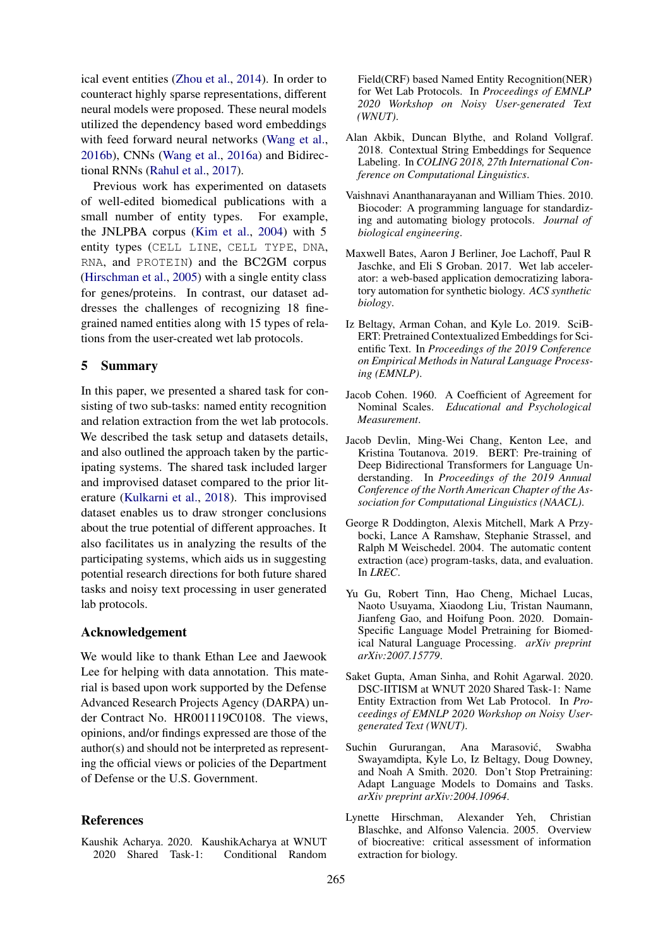ical event entities [\(Zhou et al.,](#page-7-12) [2014\)](#page-7-12). In order to counteract highly sparse representations, different neural models were proposed. These neural models utilized the dependency based word embeddings with feed forward neural networks [\(Wang et al.,](#page-7-13) [2016b\)](#page-7-13), CNNs [\(Wang et al.,](#page-7-14) [2016a\)](#page-7-14) and Bidirectional RNNs [\(Rahul et al.,](#page-7-15) [2017\)](#page-7-15).

Previous work has experimented on datasets of well-edited biomedical publications with a small number of entity types. For example, the JNLPBA corpus [\(Kim et al.,](#page-6-21) [2004\)](#page-6-21) with 5 entity types (CELL LINE, CELL TYPE, DNA, RNA, and PROTEIN) and the BC2GM corpus [\(Hirschman et al.,](#page-5-11) [2005\)](#page-5-11) with a single entity class for genes/proteins. In contrast, our dataset addresses the challenges of recognizing 18 finegrained named entities along with 15 types of relations from the user-created wet lab protocols.

#### 5 Summary

In this paper, we presented a shared task for consisting of two sub-tasks: named entity recognition and relation extraction from the wet lab protocols. We described the task setup and datasets details, and also outlined the approach taken by the participating systems. The shared task included larger and improvised dataset compared to the prior literature [\(Kulkarni et al.,](#page-6-1) [2018\)](#page-6-1). This improvised dataset enables us to draw stronger conclusions about the true potential of different approaches. It also facilitates us in analyzing the results of the participating systems, which aids us in suggesting potential research directions for both future shared tasks and noisy text processing in user generated lab protocols.

## Acknowledgement

We would like to thank Ethan Lee and Jaewook Lee for helping with data annotation. This material is based upon work supported by the Defense Advanced Research Projects Agency (DARPA) under Contract No. HR001119C0108. The views, opinions, and/or findings expressed are those of the author(s) and should not be interpreted as representing the official views or policies of the Department of Defense or the U.S. Government.

## **References**

<span id="page-5-8"></span>Kaushik Acharya. 2020. KaushikAcharya at WNUT 2020 Shared Task-1: Conditional Random Field(CRF) based Named Entity Recognition(NER) for Wet Lab Protocols. In *Proceedings of EMNLP 2020 Workshop on Noisy User-generated Text (WNUT)*.

- <span id="page-5-7"></span>Alan Akbik, Duncan Blythe, and Roland Vollgraf. 2018. Contextual String Embeddings for Sequence Labeling. In *COLING 2018, 27th International Conference on Computational Linguistics*.
- <span id="page-5-1"></span>Vaishnavi Ananthanarayanan and William Thies. 2010. Biocoder: A programming language for standardizing and automating biology protocols. *Journal of biological engineering*.
- <span id="page-5-0"></span>Maxwell Bates, Aaron J Berliner, Joe Lachoff, Paul R Jaschke, and Eli S Groban. 2017. Wet lab accelerator: a web-based application democratizing laboratory automation for synthetic biology. *ACS synthetic biology*.
- <span id="page-5-9"></span>Iz Beltagy, Arman Cohan, and Kyle Lo. 2019. SciB-ERT: Pretrained Contextualized Embeddings for Scientific Text. In *Proceedings of the 2019 Conference on Empirical Methods in Natural Language Processing (EMNLP)*.
- <span id="page-5-2"></span>Jacob Cohen. 1960. A Coefficient of Agreement for Nominal Scales. *Educational and Psychological Measurement*.
- <span id="page-5-3"></span>Jacob Devlin, Ming-Wei Chang, Kenton Lee, and Kristina Toutanova. 2019. BERT: Pre-training of Deep Bidirectional Transformers for Language Understanding. In *Proceedings of the 2019 Annual Conference of the North American Chapter of the Association for Computational Linguistics (NAACL)*.
- <span id="page-5-10"></span>George R Doddington, Alexis Mitchell, Mark A Przybocki, Lance A Ramshaw, Stephanie Strassel, and Ralph M Weischedel. 2004. The automatic content extraction (ace) program-tasks, data, and evaluation. In *LREC*.
- <span id="page-5-4"></span>Yu Gu, Robert Tinn, Hao Cheng, Michael Lucas, Naoto Usuyama, Xiaodong Liu, Tristan Naumann, Jianfeng Gao, and Hoifung Poon. 2020. Domain-Specific Language Model Pretraining for Biomedical Natural Language Processing. *arXiv preprint arXiv:2007.15779*.
- <span id="page-5-6"></span>Saket Gupta, Aman Sinha, and Rohit Agarwal. 2020. DSC-IITISM at WNUT 2020 Shared Task-1: Name Entity Extraction from Wet Lab Protocol. In *Proceedings of EMNLP 2020 Workshop on Noisy Usergenerated Text (WNUT)*.
- <span id="page-5-5"></span>Suchin Gururangan, Ana Marasovic, Swabha ´ Swayamdipta, Kyle Lo, Iz Beltagy, Doug Downey, and Noah A Smith. 2020. Don't Stop Pretraining: Adapt Language Models to Domains and Tasks. *arXiv preprint arXiv:2004.10964*.
- <span id="page-5-11"></span>Lynette Hirschman, Alexander Yeh, Christian Blaschke, and Alfonso Valencia. 2005. Overview of biocreative: critical assessment of information extraction for biology.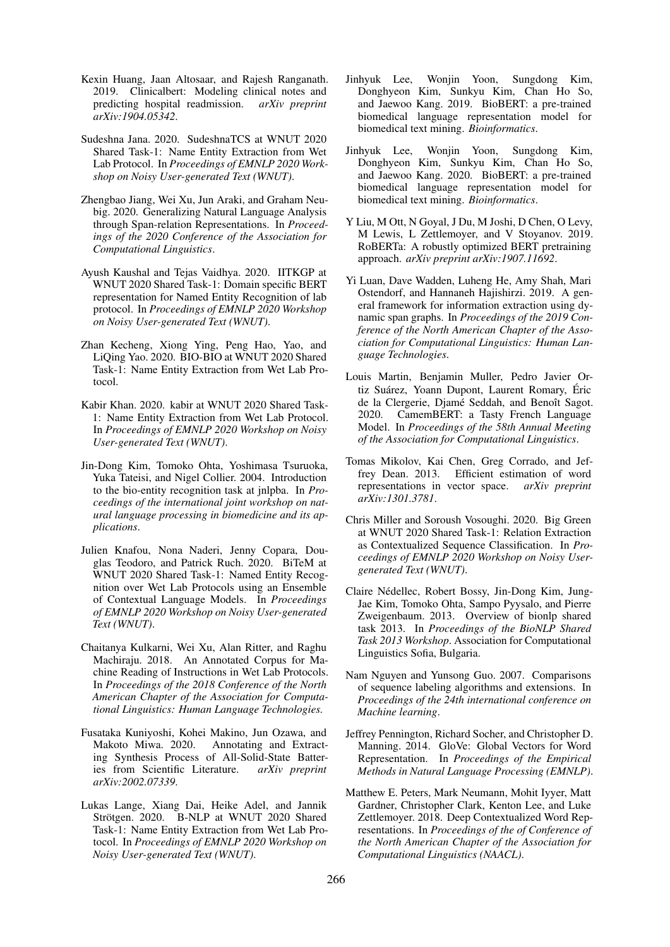- <span id="page-6-10"></span>Kexin Huang, Jaan Altosaar, and Rajesh Ranganath. 2019. Clinicalbert: Modeling clinical notes and predicting hospital readmission. *arXiv preprint arXiv:1904.05342*.
- <span id="page-6-17"></span>Sudeshna Jana. 2020. SudeshnaTCS at WNUT 2020 Shared Task-1: Name Entity Extraction from Wet Lab Protocol. In *Proceedings of EMNLP 2020 Workshop on Noisy User-generated Text (WNUT)*.
- <span id="page-6-2"></span>Zhengbao Jiang, Wei Xu, Jun Araki, and Graham Neubig. 2020. Generalizing Natural Language Analysis through Span-relation Representations. In *Proceedings of the 2020 Conference of the Association for Computational Linguistics*.
- <span id="page-6-18"></span>Ayush Kaushal and Tejas Vaidhya. 2020. IITKGP at WNUT 2020 Shared Task-1: Domain specific BERT representation for Named Entity Recognition of lab protocol. In *Proceedings of EMNLP 2020 Workshop on Noisy User-generated Text (WNUT)*.
- <span id="page-6-7"></span>Zhan Kecheng, Xiong Ying, Peng Hao, Yao, and LiQing Yao. 2020. BIO-BIO at WNUT 2020 Shared Task-1: Name Entity Extraction from Wet Lab Protocol.
- <span id="page-6-14"></span>Kabir Khan. 2020. kabir at WNUT 2020 Shared Task-1: Name Entity Extraction from Wet Lab Protocol. In *Proceedings of EMNLP 2020 Workshop on Noisy User-generated Text (WNUT)*.
- <span id="page-6-21"></span>Jin-Dong Kim, Tomoko Ohta, Yoshimasa Tsuruoka, Yuka Tateisi, and Nigel Collier. 2004. Introduction to the bio-entity recognition task at jnlpba. In *Proceedings of the international joint workshop on natural language processing in biomedicine and its applications*.
- <span id="page-6-9"></span>Julien Knafou, Nona Naderi, Jenny Copara, Douglas Teodoro, and Patrick Ruch. 2020. BiTeM at WNUT 2020 Shared Task-1: Named Entity Recognition over Wet Lab Protocols using an Ensemble of Contextual Language Models. In *Proceedings of EMNLP 2020 Workshop on Noisy User-generated Text (WNUT)*.
- <span id="page-6-1"></span>Chaitanya Kulkarni, Wei Xu, Alan Ritter, and Raghu Machiraju. 2018. An Annotated Corpus for Machine Reading of Instructions in Wet Lab Protocols. In *Proceedings of the 2018 Conference of the North American Chapter of the Association for Computational Linguistics: Human Language Technologies.*
- <span id="page-6-0"></span>Fusataka Kuniyoshi, Kohei Makino, Jun Ozawa, and Makoto Miwa. 2020. Annotating and Extracting Synthesis Process of All-Solid-State Batteries from Scientific Literature. *arXiv preprint arXiv:2002.07339*.
- <span id="page-6-4"></span>Lukas Lange, Xiang Dai, Heike Adel, and Jannik Strötgen. 2020. B-NLP at WNUT 2020 Shared Task-1: Name Entity Extraction from Wet Lab Protocol. In *Proceedings of EMNLP 2020 Workshop on Noisy User-generated Text (WNUT)*.
- <span id="page-6-6"></span>Jinhyuk Lee, Wonjin Yoon, Sungdong Kim, Donghyeon Kim, Sunkyu Kim, Chan Ho So, and Jaewoo Kang. 2019. BioBERT: a pre-trained biomedical language representation model for biomedical text mining. *Bioinformatics*.
- <span id="page-6-8"></span>Jinhyuk Lee, Wonjin Yoon, Sungdong Kim, Donghyeon Kim, Sunkyu Kim, Chan Ho So, and Jaewoo Kang. 2020. BioBERT: a pre-trained biomedical language representation model for biomedical text mining. *Bioinformatics*.
- <span id="page-6-11"></span>Y Liu, M Ott, N Goyal, J Du, M Joshi, D Chen, O Levy, M Lewis, L Zettlemoyer, and V Stoyanov. 2019. RoBERTa: A robustly optimized BERT pretraining approach. *arXiv preprint arXiv:1907.11692*.
- <span id="page-6-3"></span>Yi Luan, Dave Wadden, Luheng He, Amy Shah, Mari Ostendorf, and Hannaneh Hajishirzi. 2019. A general framework for information extraction using dynamic span graphs. In *Proceedings of the 2019 Conference of the North American Chapter of the Association for Computational Linguistics: Human Language Technologies*.
- <span id="page-6-12"></span>Louis Martin, Benjamin Muller, Pedro Javier Ortiz Suárez, Yoann Dupont, Laurent Romary, Éric de la Clergerie, Djamé Seddah, and Benoît Sagot. 2020. CamemBERT: a Tasty French Language Model. In *Proceedings of the 58th Annual Meeting of the Association for Computational Linguistics*.
- <span id="page-6-5"></span>Tomas Mikolov, Kai Chen, Greg Corrado, and Jeffrey Dean. 2013. Efficient estimation of word representations in vector space. *arXiv preprint arXiv:1301.3781*.
- <span id="page-6-19"></span>Chris Miller and Soroush Vosoughi. 2020. Big Green at WNUT 2020 Shared Task-1: Relation Extraction as Contextualized Sequence Classification. In *Proceedings of EMNLP 2020 Workshop on Noisy Usergenerated Text (WNUT)*.
- <span id="page-6-20"></span>Claire Nédellec, Robert Bossy, Jin-Dong Kim, Jung-Jae Kim, Tomoko Ohta, Sampo Pyysalo, and Pierre Zweigenbaum. 2013. Overview of bionlp shared task 2013. In *Proceedings of the BioNLP Shared Task 2013 Workshop*. Association for Computational Linguistics Sofia, Bulgaria.
- <span id="page-6-16"></span>Nam Nguyen and Yunsong Guo. 2007. Comparisons of sequence labeling algorithms and extensions. In *Proceedings of the 24th international conference on Machine learning*.
- <span id="page-6-13"></span>Jeffrey Pennington, Richard Socher, and Christopher D. Manning. 2014. GloVe: Global Vectors for Word Representation. In *Proceedings of the Empirical Methods in Natural Language Processing (EMNLP)*.
- <span id="page-6-15"></span>Matthew E. Peters, Mark Neumann, Mohit Iyyer, Matt Gardner, Christopher Clark, Kenton Lee, and Luke Zettlemoyer. 2018. Deep Contextualized Word Representations. In *Proceedings of the of Conference of the North American Chapter of the Association for Computational Linguistics (NAACL)*.